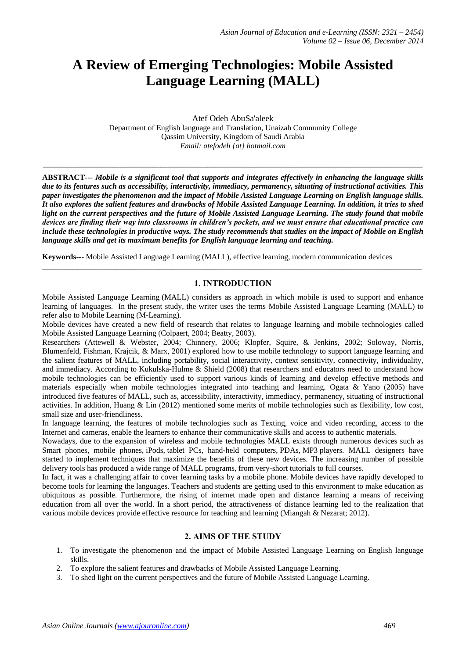# **A Review of Emerging Technologies: Mobile Assisted Language Learning (MALL)**

Atef Odeh AbuSa'aleek Department of English language and Translation, Unaizah Community College Qassim University, Kingdom of Saudi Arabia *Email: atefodeh {at} hotmail.com*

**\_\_\_\_\_\_\_\_\_\_\_\_\_\_\_\_\_\_\_\_\_\_\_\_\_\_\_\_\_\_\_\_\_\_\_\_\_\_\_\_\_\_\_\_\_\_\_\_\_\_\_\_\_\_\_\_\_\_\_\_\_\_\_\_\_\_\_\_\_\_\_\_\_\_\_\_\_\_\_\_\_\_\_\_\_\_\_\_\_\_\_\_\_\_\_\_\_**

**ABSTRACT---** *Mobile is a significant tool that supports and integrates effectively in enhancing the language skills due to its features such as accessibility, interactivity, immediacy, permanency, situating of instructional activities. This paper investigates the phenomenon and the impact of Mobile Assisted Language Learning on English language skills. It also explores the salient features and drawbacks of Mobile Assisted Language Learning. In addition, it tries to shed light on the current perspectives and the future of Mobile Assisted Language Learning. The study found that mobile devices are finding their way into classrooms in children's pockets, and we must ensure that educational practice can include these technologies in productive ways. The study recommends that studies on the impact of Mobile on English language skills and get its maximum benefits for English language learning and teaching.*

**Keywords---** Mobile Assisted Language Learning (MALL), effective learning, modern communication devices

#### **1. INTRODUCTION**

\_\_\_\_\_\_\_\_\_\_\_\_\_\_\_\_\_\_\_\_\_\_\_\_\_\_\_\_\_\_\_\_\_\_\_\_\_\_\_\_\_\_\_\_\_\_\_\_\_\_\_\_\_\_\_\_\_\_\_\_\_\_\_\_\_\_\_\_\_\_\_\_\_\_\_\_\_\_\_\_\_\_\_\_\_\_\_\_\_\_\_\_\_\_\_\_\_

Mobile Assisted Language Learning (MALL) considers as approach in which mobile is used to support and enhance learning of languages. In the present study, the writer uses the terms Mobile Assisted Language Learning (MALL) to refer also to Mobile Learning (M-Learning).

Mobile devices have created a new field of research that relates to language learning and mobile technologies called Mobile Assisted Language Learning (Colpaert, 2004; Beatty, 2003).

Researchers (Attewell & Webster, 2004; Chinnery, 2006; Klopfer, Squire, & Jenkins, 2002; Soloway, Norris, Blumenfeld, Fishman, Krajcik, & Marx, 2001) explored how to use mobile technology to support language learning and the salient features of MALL, including portability, social interactivity, context sensitivity, connectivity, individuality, and immediacy. According to Kukulska-Hulme & Shield (2008) that researchers and educators need to understand how mobile technologies can be efficiently used to support various kinds of learning and develop effective methods and materials especially when mobile technologies integrated into teaching and learning. Ogata & Yano (2005) have introduced five features of MALL, such as, accessibility, interactivity, immediacy, permanency, situating of instructional activities. In addition, Huang & Lin (2012) mentioned some merits of mobile technologies such as flexibility, low cost, small size and user-friendliness.

In language learning, the features of mobile technologies such as Texting, voice and video recording, access to the Internet and cameras, enable the learners to enhance their communicative skills and access to authentic materials.

Nowadays, due to the expansion of wireless and mobile technologies MALL exists through numerous devices such as Smart phones, mobile phones, iPods, tablet PCs, hand-held computers, PDAs, MP3 players. MALL designers have started to implement techniques that maximize the benefits of these new devices. The increasing number of possible delivery tools has produced a wide range of MALL programs, from very-short tutorials to full courses.

In fact, it was a challenging affair to cover learning tasks by a mobile phone. Mobile devices have rapidly developed to become tools for learning the languages. Teachers and students are getting used to this environment to make education as ubiquitous as possible. Furthermore, the rising of internet made open and distance learning a means of receiving education from all over the world. In a short period, the attractiveness of distance learning led to the realization that various mobile devices provide effective resource for teaching and learning (Miangah & Nezarat; 2012).

#### **2. AIMS OF THE STUDY**

- 1. To investigate the phenomenon and the impact of Mobile Assisted Language Learning on English language skills.
- 2. To explore the salient features and drawbacks of Mobile Assisted Language Learning.
- 3. To shed light on the current perspectives and the future of Mobile Assisted Language Learning.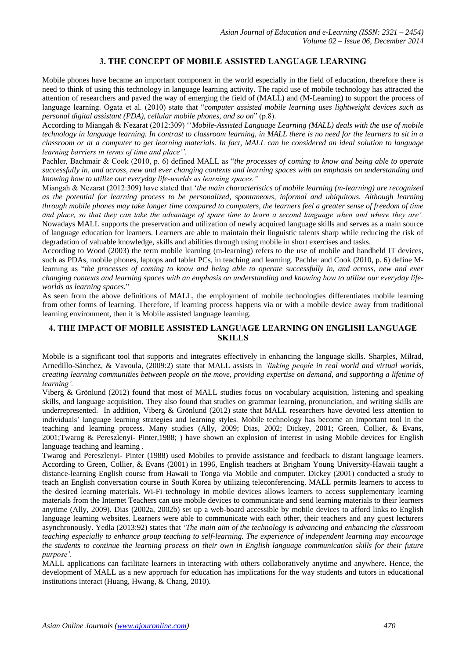### **3. THE CONCEPT OF MOBILE ASSISTED LANGUAGE LEARNING**

Mobile phones have became an important component in the world especially in the field of education, therefore there is need to think of using this technology in language learning activity. The rapid use of mobile technology has attracted the attention of researchers and paved the way of emerging the field of (MALL) and (M-Learning) to support the process of language learning. Ogata et al. (2010) state that "*computer assisted mobile learning uses lightweight devices such as personal digital assistant (PDA), cellular mobile phones, and so on*" (p.8).

According to Miangah & Nezarat (2012:309) ''*Mobile-Assisted Language Learning (MALL) deals with the use of mobile technology in language learning. In contrast to classroom learning, in MALL there is no need for the learners to sit in a classroom or at a computer to get learning materials. In fact, MALL can be considered an ideal solution to language learning barriers in terms of time and place''.* 

Pachler, Bachmair & Cook (2010, p. 6) defined MALL as "*the processes of coming to know and being able to operate successfully in, and across, new and ever changing contexts and learning spaces with an emphasis on understanding and knowing how to utilize our everyday life-worlds as learning spaces."*

Miangah & Nezarat (2012:309) have stated that '*the main characteristics of mobile learning (m-learning) are recognized as the potential for learning process to be personalized, spontaneous, informal and ubiquitous. Although learning through mobile phones may take longer time compared to computers, the learners feel a greater sense of freedom of time and place, so that they can take the advantage of spare time to learn a second language when and where they are'.*  Nowadays MALL supports the preservation and utilization of newly acquired language skills and serves as a main source of language education for learners. Learners are able to maintain their linguistic talents sharp while reducing the risk of degradation of valuable knowledge, skills and abilities through using mobile in short exercises and tasks.

According to Wood (2003) the term mobile learning (m-learning) refers to the use of mobile and handheld IT devices, such as PDAs, mobile phones, laptops and tablet PCs, in teaching and learning. Pachler and Cook (2010, p. 6) define Mlearning as "*the processes of coming to know and being able to operate successfully in, and across, new and ever changing contexts and learning spaces with an emphasis on understanding and knowing how to utilize our everyday lifeworlds as learning spaces.*"

As seen from the above definitions of MALL, the employment of mobile technologies differentiates mobile learning from other forms of learning. Therefore, if learning process happens via or with a mobile device away from traditional learning environment, then it is Mobile assisted language learning.

# **4. THE IMPACT OF MOBILE ASSISTED LANGUAGE LEARNING ON ENGLISH LANGUAGE SKILLS**

Mobile is a significant tool that supports and integrates effectively in enhancing the language skills. Sharples, Milrad, Arnedillo-Sánchez, & Vavoula, (2009:2) state that MALL assists in *'linking people in real world and virtual worlds, creating learning communities between people on the move, providing expertise on demand, and supporting a lifetime of learning'.*

Viberg & Grönlund (2012) found that most of MALL studies focus on vocabulary acquisition, listening and speaking skills, and language acquisition. They also found that studies on grammar learning, pronunciation, and writing skills are underrepresented. In addition, Viberg & Grönlund (2012) state that MALL researchers have devoted less attention to individuals' language learning strategies and learning styles. Mobile technology has become an important tool in the teaching and learning process. Many studies (Ally, 2009; Dias, 2002; Dickey, 2001; Green, Collier, & Evans, 2001;Twarog & Pereszlenyi- Pinter,1988; ) have shown an explosion of interest in using Mobile devices for English language teaching and learning .

Twarog and Pereszlenyi- Pinter (1988) used Mobiles to provide assistance and feedback to distant language learners. According to Green, Collier, & Evans (2001) in 1996, English teachers at Brigham Young University-Hawaii taught a distance-learning English course from Hawaii to Tonga via Mobile and computer. Dickey (2001) conducted a study to teach an English conversation course in South Korea by utilizing teleconferencing. MALL permits learners to access to the desired learning materials. Wi-Fi technology in mobile devices allows learners to access supplementary learning materials from the Internet Teachers can use mobile devices to communicate and send learning materials to their learners anytime (Ally, 2009). Dias (2002a, 2002b) set up a web-board accessible by mobile devices to afford links to English language learning websites. Learners were able to communicate with each other, their teachers and any guest lecturers asynchronously. Yedla (2013:92) states that '*The main aim of the technology is advancing and enhancing the classroom teaching especially to enhance group teaching to self-learning. The experience of independent learning may encourage the students to continue the learning process on their own in English language communication skills for their future purpose'.*

MALL applications can facilitate learners in interacting with others collaboratively anytime and anywhere. Hence, the development of MALL as a new approach for education has implications for the way students and tutors in educational institutions interact (Huang, Hwang, & Chang, 2010).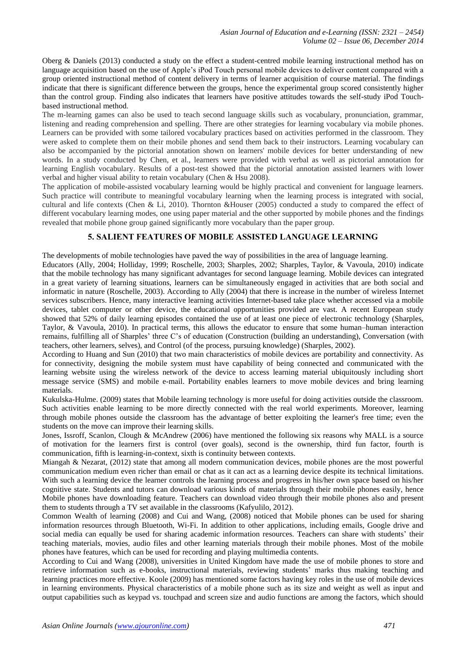Oberg & Daniels (2013) conducted a study on the effect a student-centred mobile learning instructional method has on language acquisition based on the use of Apple's iPod Touch personal mobile devices to deliver content compared with a group oriented instructional method of content delivery in terms of learner acquisition of course material. The findings indicate that there is significant difference between the groups, hence the experimental group scored consistently higher than the control group. Finding also indicates that learners have positive attitudes towards the self-study iPod Touchbased instructional method.

The m-learning games can also be used to teach second language skills such as vocabulary, pronunciation, grammar, listening and reading comprehension and spelling. There are other strategies for learning vocabulary via mobile phones. Learners can be provided with some tailored vocabulary practices based on activities performed in the classroom. They were asked to complete them on their mobile phones and send them back to their instructors. Learning vocabulary can also be accompanied by the pictorial annotation shown on learners' mobile devices for better understanding of new words. In a study conducted by Chen, et al., learners were provided with verbal as well as pictorial annotation for learning English vocabulary. Results of a post-test showed that the pictorial annotation assisted learners with lower verbal and higher visual ability to retain vocabulary (Chen & Hsu 2008).

The application of mobile-assisted vocabulary learning would be highly practical and convenient for language learners. Such practice will contribute to meaningful vocabulary learning when the learning process is integrated with social, cultural and life contexts (Chen & Li, 2010). Thornton &Houser (2005) conducted a study to compared the effect of different vocabulary learning modes, one using paper material and the other supported by mobile phones and the findings revealed that mobile phone group gained significantly more vocabulary than the paper group.

#### **5. SALIENT FEATURES OF MOBILE ASSISTED LANGUAGE LEARNING**

The developments of mobile technologies have paved the way of possibilities in the area of language learning.

Educators (Ally, 2004; Holliday, 1999; Roschelle, 2003; Sharples, 2002; Sharples, Taylor, & Vavoula, 2010) indicate that the mobile technology has many significant advantages for second language learning. Mobile devices can integrated in a great variety of learning situations, learners can be simultaneously engaged in activities that are both social and informatic in nature (Roschelle, 2003). According to Ally (2004) that there is increase in the number of wireless Internet services subscribers. Hence, many interactive learning activities Internet-based take place whether accessed via a mobile devices, tablet computer or other device, the educational opportunities provided are vast. A recent European study showed that 52% of daily learning episodes contained the use of at least one piece of electronic technology (Sharples, Taylor, & Vavoula, 2010). In practical terms, this allows the educator to ensure that some human–human interaction remains, fulfilling all of Sharples' three C's of education (Construction (building an understanding), Conversation (with teachers, other learners, selves), and Control (of the process, pursuing knowledge) (Sharples, 2002).

According to Huang and Sun (2010) that two main characteristics of mobile devices are portability and connectivity. As for connectivity, designing the mobile system must have capability of being connected and communicated with the learning website using the wireless network of the device to access learning material ubiquitously including short message service (SMS) and mobile e-mail. Portability enables learners to move mobile devices and bring learning materials.

Kukulska-Hulme. (2009) states that Mobile learning technology is more useful for doing activities outside the classroom. Such activities enable learning to be more directly connected with the real world experiments. Moreover, learning through mobile phones outside the classroom has the advantage of better exploiting the learner's free time; even the students on the move can improve their learning skills.

Jones, Issroff, Scanlon, Clough & McAndrew (2006) have mentioned the following six reasons why MALL is a source of motivation for the learners first is control (over goals), second is the ownership, third fun factor, fourth is communication, fifth is learning-in-context, sixth is continuity between contexts.

Miangah & Nezarat, (2012) state that among all modern communication devices, mobile phones are the most powerful communication medium even richer than email or chat as it can act as a learning device despite its technical limitations. With such a learning device the learner controls the learning process and progress in his/her own space based on his/her cognitive state. Students and tutors can download various kinds of materials through their mobile phones easily, hence Mobile phones have downloading feature. Teachers can download video through their mobile phones also and present them to students through a TV set available in the classrooms (Kafyulilo, 2012).

Common Wealth of learning (2008) and Cui and Wang, (2008) noticed that Mobile phones can be used for sharing information resources through Bluetooth, Wi-Fi. In addition to other applications, including emails, Google drive and social media can equally be used for sharing academic information resources. Teachers can share with students' their teaching materials, movies, audio files and other learning materials through their mobile phones. Most of the mobile phones have features, which can be used for recording and playing multimedia contents.

According to Cui and Wang (2008), universities in United Kingdom have made the use of mobile phones to store and retrieve information such as e-books, instructional materials, reviewing students' marks thus making teaching and learning practices more effective. Koole (2009) has mentioned some factors having key roles in the use of mobile devices in learning environments. Physical characteristics of a mobile phone such as its size and weight as well as input and output capabilities such as keypad vs. touchpad and screen size and audio functions are among the factors, which should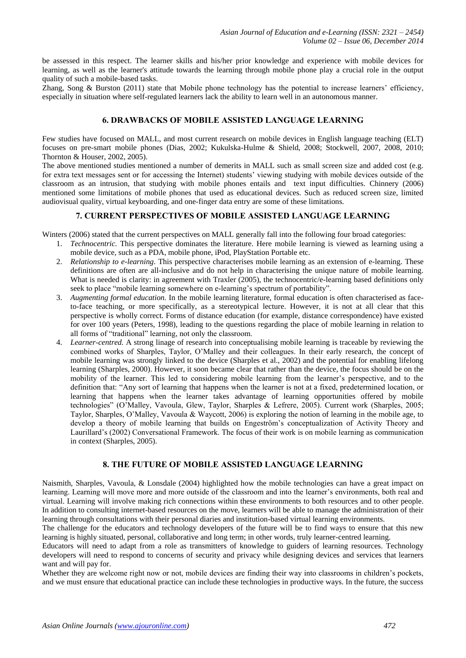be assessed in this respect. The learner skills and his/her prior knowledge and experience with mobile devices for learning, as well as the learner's attitude towards the learning through mobile phone play a crucial role in the output quality of such a mobile-based tasks.

Zhang, Song & Burston (2011) state that Mobile phone technology has the potential to increase learners' efficiency, especially in situation where self-regulated learners lack the ability to learn well in an autonomous manner.

### **6. DRAWBACKS OF MOBILE ASSISTED LANGUAGE LEARNING**

Few studies have focused on MALL, and most current research on mobile devices in English language teaching (ELT) focuses on pre-smart mobile phones (Dias, 2002; Kukulska-Hulme & Shield, 2008; Stockwell, 2007, 2008, 2010; Thornton & Houser, 2002, 2005).

The above mentioned studies mentioned a number of demerits in MALL such as small screen size and added cost (e.g. for extra text messages sent or for accessing the Internet) students' viewing studying with mobile devices outside of the classroom as an intrusion, that studying with mobile phones entails and text input difficulties. Chinnery (2006) mentioned some limitations of mobile phones that used as educational devices. Such as reduced screen size, limited audiovisual quality, virtual keyboarding, and one-finger data entry are some of these limitations.

#### **7. CURRENT PERSPECTIVES OF MOBILE ASSISTED LANGUAGE LEARNING**

Winters (2006) stated that the current perspectives on MALL generally fall into the following four broad categories:

- 1. *Technocentric.* This perspective dominates the literature. Here mobile learning is viewed as learning using a mobile device, such as a PDA, mobile phone, iPod, PlayStation Portable etc.
- 2. *Relationship to e-learning*. This perspective characterises mobile learning as an extension of e-learning. These definitions are often are all-inclusive and do not help in characterising the unique nature of mobile learning. What is needed is clarity: in agreement with Traxler (2005), the technocentric/e-learning based definitions only seek to place "mobile learning somewhere on e-learning's spectrum of portability".
- 3. *Augmenting formal education.* In the mobile learning literature, formal education is often characterised as faceto-face teaching, or more specifically, as a stereotypical lecture. However, it is not at all clear that this perspective is wholly correct. Forms of distance education (for example, distance correspondence) have existed for over 100 years (Peters, 1998), leading to the questions regarding the place of mobile learning in relation to all forms of "traditional" learning, not only the classroom.
- 4. *Learner-centred.* A strong linage of research into conceptualising mobile learning is traceable by reviewing the combined works of Sharples, Taylor, O'Malley and their colleagues. In their early research, the concept of mobile learning was strongly linked to the device (Sharples et al., 2002) and the potential for enabling lifelong learning (Sharples, 2000). However, it soon became clear that rather than the device, the focus should be on the mobility of the learner. This led to considering mobile learning from the learner's perspective, and to the definition that: "Any sort of learning that happens when the learner is not at a fixed, predetermined location, or learning that happens when the learner takes advantage of learning opportunities offered by mobile technologies" (O'Malley, Vavoula, Glew, Taylor, Sharples & Lefrere, 2005). Current work (Sharples, 2005; Taylor, Sharples, O'Malley, Vavoula & Waycott, 2006) is exploring the notion of learning in the mobile age, to develop a theory of mobile learning that builds on Engeström's conceptualization of Activity Theory and Laurillard's (2002) Conversational Framework. The focus of their work is on mobile learning as communication in context (Sharples, 2005).

# **8. THE FUTURE OF MOBILE ASSISTED LANGUAGE LEARNING**

Naismith, Sharples, Vavoula, & Lonsdale (2004) highlighted how the mobile technologies can have a great impact on learning. Learning will move more and more outside of the classroom and into the learner's environments, both real and virtual. Learning will involve making rich connections within these environments to both resources and to other people. In addition to consulting internet-based resources on the move, learners will be able to manage the administration of their learning through consultations with their personal diaries and institution-based virtual learning environments.

The challenge for the educators and technology developers of the future will be to find ways to ensure that this new learning is highly situated, personal, collaborative and long term; in other words, truly learner-centred learning.

Educators will need to adapt from a role as transmitters of knowledge to guiders of learning resources. Technology developers will need to respond to concerns of security and privacy while designing devices and services that learners want and will pay for.

Whether they are welcome right now or not, mobile devices are finding their way into classrooms in children's pockets, and we must ensure that educational practice can include these technologies in productive ways. In the future, the success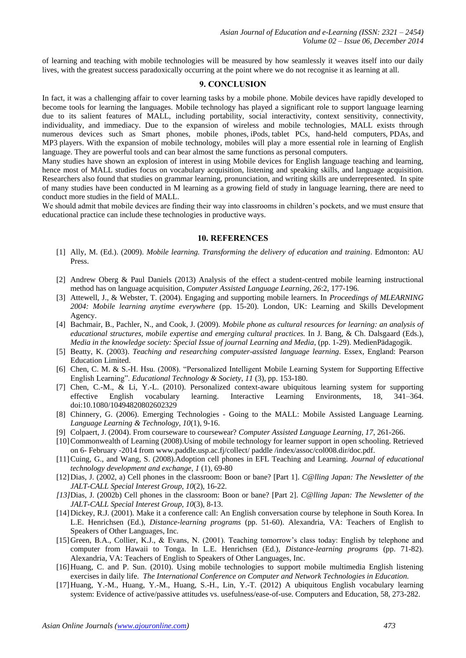of learning and teaching with mobile technologies will be measured by how seamlessly it weaves itself into our daily lives, with the greatest success paradoxically occurring at the point where we do not recognise it as learning at all.

# **9. CONCLUSION**

In fact, it was a challenging affair to cover learning tasks by a mobile phone. Mobile devices have rapidly developed to become tools for learning the languages. Mobile technology has played a significant role to support language learning due to its salient features of MALL, including portability, social interactivity, context sensitivity, connectivity, individuality, and immediacy. Due to the expansion of wireless and mobile technologies, MALL exists through numerous devices such as Smart phones, mobile phones, iPods, tablet PCs, hand-held computers, PDAs, and MP3 players. With the expansion of mobile technology, mobiles will play a more essential role in learning of English language. They are powerful tools and can bear almost the same functions as personal computers.

Many studies have shown an explosion of interest in using Mobile devices for English language teaching and learning, hence most of MALL studies focus on vocabulary acquisition, listening and speaking skills, and language acquisition. Researchers also found that studies on grammar learning, pronunciation, and writing skills are underrepresented. In spite of many studies have been conducted in M learning as a growing field of study in language learning, there are need to conduct more studies in the field of MALL.

We should admit that mobile devices are finding their way into classrooms in children's pockets, and we must ensure that educational practice can include these technologies in productive ways.

#### **10. REFERENCES**

- [1] Ally, M. (Ed.). (2009). *Mobile learning. Transforming the delivery of education and training*. Edmonton: AU Press.
- [2] Andrew Oberg & Paul Daniels (2013) Analysis of the effect a student-centred mobile learning instructional method has on language acquisition, *Computer Assisted Language Learning, 26*:2, 177-196.
- [3] Attewell, J., & Webster, T. (2004). Engaging and supporting mobile learners. In *Proceedings of MLEARNING 2004: Mobile learning anytime everywhere* (pp. 15-20). London, UK: Learning and Skills Development Agency.
- [4] Bachmair, B., Pachler, N., and Cook, J. (2009). *Mobile phone as cultural resources for learning: an analysis of educational structures, mobile expertise and emerging cultural practices.* In J. Bang, & Ch. Dalsgaard (Eds.), *Media in the knowledge society: Special Issue of journal Learning and Media*, (pp. 1-29). MedienPädagogik.
- [5] Beatty, K. (2003). *Teaching and researching computer-assisted language learning*. Essex, England: Pearson Education Limited.
- [6] Chen, C. M. & S.-H. Hsu. (2008). "Personalized Intelligent Mobile Learning System for Supporting Effective English Learning". *Educational Technology & Society*, *11* (3), pp. 153-180.
- [7] Chen, C.-M., & Li, Y.-L. (2010). Personalized context-aware ubiquitous learning system for supporting effective English vocabulary learning. Interactive Learning Environments, 18, 341–364. doi:10.1080/10494820802602329
- [8] Chinnery, G. (2006). Emerging Technologies Going to the MALL: Mobile Assisted Language Learning. *Language Learning & Technology, 10*(1), 9-16.
- [9] Colpaert, J. (2004). From courseware to coursewear? *Computer Assisted Language Learning, 17*, 261-266.
- [10]Commonwealth of Learning (2008).Using of mobile technology for learner support in open schooling. Retrieved on 6- February -2014 from www.paddle.usp.ac.fj/collect/ paddle /index/assoc/col008.dir/doc.pdf.
- [11]Cuing, G., and Wang, S. (2008).Adoption cell phones in EFL Teaching and Learning. *Journal of educational technology development and exchange, 1* (1), 69-80
- [12]Dias, J. (2002, a) Cell phones in the classroom: Boon or bane? [Part 1]. *C@lling Japan: The Newsletter of the JALT-CALL Special Interest Group, 10*(2), 16-22.
- *[13]*Dias, J. (2002b) Cell phones in the classroom: Boon or bane? [Part 2]. *C@lling Japan: The Newsletter of the JALT-CALL Special Interest Group, 10*(3), 8-13.
- [14]Dickey, R.J. (2001). Make it a conference call: An English conversation course by telephone in South Korea. In L.E. Henrichsen (Ed.), *Distance-learning programs* (pp. 51-60). Alexandria, VA: Teachers of English to Speakers of Other Languages, Inc.
- [15]Green, B.A., Collier, K.J., & Evans, N. (2001). Teaching tomorrow's class today: English by telephone and computer from Hawaii to Tonga. In L.E. Henrichsen (Ed.), *Distance-learning programs* (pp. 71-82). Alexandria, VA: Teachers of English to Speakers of Other Languages, Inc.
- [16]Huang, C. and P. Sun. (2010). Using mobile technologies to support mobile multimedia English listening exercises in daily life. *The International Conference on Computer and Network Technologies in Education.*
- [17]Huang, Y.-M., Huang, Y.-M., Huang, S.-H., Lin, Y.-T. (2012) A ubiquitous English vocabulary learning system: Evidence of active/passive attitudes vs. usefulness/ease-of-use. Computers and Education, 58, 273-282.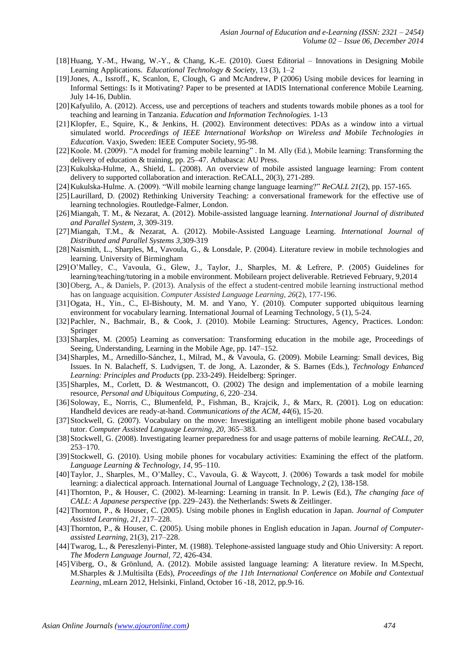- [18]Huang, Y.-M., Hwang, W.-Y., & Chang, K.-E. (2010). Guest Editorial Innovations in Designing Mobile Learning Applications. *Educational Technology & Society*, 13 (3), 1–2
- [19]Jones, A., Issroff., K, Scanlon, E, Clough, G and McAndrew, P (2006) Using mobile devices for learning in Informal Settings: Is it Motivating? Paper to be presented at IADIS International conference Mobile Learning. July 14-16, Dublin.
- [20]Kafyulilo, A. (2012). Access, use and perceptions of teachers and students towards mobile phones as a tool for teaching and learning in Tanzania. *Education and Information Technologies.* 1-13
- [21]Klopfer, E., Squire, K., & Jenkins, H. (2002). Environment detectives: PDAs as a window into a virtual simulated world. *Proceedings of IEEE International Workshop on Wireless and Mobile Technologies in Education.* Vaxjo, Sweden: IEEE Computer Society, 95-98.
- [22]Koole. M. (2009). "A model for framing mobile learning" . In M. Ally (Ed.), Mobile learning: Transforming the delivery of education & training, pp. 25–47. Athabasca: AU Press.
- [23]Kukulska-Hulme, A., Shield, L. (2008). An overview of mobile assisted language learning: From content delivery to supported collaboration and interaction. ReCALL, 20(3), 271-289.
- [24]Kukulska-Hulme. A. (2009). "Will mobile learning change language learning?" *ReCALL 21*(2), pp. 157-165.
- [25]Laurillard, D. (2002) Rethinking University Teaching: a conversational framework for the effective use of learning technologies. Routledge-Falmer, London.
- [26]Miangah, T. M., & Nezarat, A. (2012). Mobile-assisted language learning. *International Journal of distributed and Parallel System*, *3*, 309-319.
- [27]Miangah, T.M., & Nezarat, A. (2012). Mobile-Assisted Language Learning. *International Journal of Distributed and Parallel Systems 3,*309-319
- [28]Naismith, L., Sharples, M., Vavoula, G., & Lonsdale, P. (2004). Literature review in mobile technologies and learning. University of Birmingham
- [29]O'Malley, C., Vavoula, G., Glew, J., Taylor, J., Sharples, M. & Lefrere, P. (2005) Guidelines for learning/teaching/tutoring in a mobile environment. Mobilearn project deliverable. Retrieved February, 9,2014
- [30] Oberg, A., & Daniels, P. (2013). Analysis of the effect a student-centred mobile learning instructional method has on language acquisition. *Computer Assisted Language Learning*, *26*(2), 177-196.
- [31]Ogata, H., Yin., C., El-Bishouty, M. M. and Yano, Y. (2010). Computer supported ubiquitous learning environment for vocabulary learning. International Journal of Learning Technology, 5 (1), 5-24.
- [32]Pachler, N., Bachmair, B., & Cook, J. (2010). Mobile Learning: Structures, Agency, Practices. London: Springer
- [33]Sharples, M. (2005) Learning as conversation: Transforming education in the mobile age, Proceedings of Seeing, Understanding, Learning in the Mobile Age, pp. 147–152.
- [34]Sharples, M., Arnedillo-Sánchez, I., Milrad, M., & Vavoula, G. (2009). Mobile Learning: Small devices, Big Issues. In N. Balacheff, S. Ludvigsen, T. de Jong, A. Lazonder, & S. Barnes (Eds.), *Technology Enhanced Learning: Principles and Products* (pp. 233-249). Heidelberg: Springer.
- [35]Sharples, M., Corlett, D. & Westmancott, O. (2002) The design and implementation of a mobile learning resource, *Personal and Ubiquitous Computing, 6*, 220–234.
- [36]Soloway, E., Norris, C., Blumenfeld, P., Fishman, B., Krajcik, J., & Marx, R. (2001). Log on education: Handheld devices are ready-at-hand. *Communications of the ACM, 44*(6), 15-20.
- [37]Stockwell, G. (2007). Vocabulary on the move: Investigating an intelligent mobile phone based vocabulary tutor. *Computer Assisted Language Learning, 20,* 365–383.
- [38]Stockwell, G. (2008). Investigating learner preparedness for and usage patterns of mobile learning. *ReCALL, 20*, 253–170.
- [39] Stockwell, G. (2010). Using mobile phones for vocabulary activities: Examining the effect of the platform. *Language Learning & Technology, 14,* 95–110.
- [40]Taylor, J., Sharples, M., O'Malley, C., Vavoula, G. & Waycott, J. (2006) Towards a task model for mobile learning: a dialectical approach. International Journal of Language Technology, *2* (2), 138-158.
- [41]Thornton, P., & Houser, C. (2002). M-learning: Learning in transit. In P. Lewis (Ed.), *The changing face of CALL*: *A Japanese perspective* (pp. 229–243). the Netherlands: Swets & Zeitlinger.
- [42]Thornton, P., & Houser, C. (2005). Using mobile phones in English education in Japan. *Journal of Computer Assisted Learning, 21*, 217–228.
- [43]Thornton, P., & Houser, C. (2005). Using mobile phones in English education in Japan. *Journal of Computerassisted Learning*, 21(3), 217–228.
- [44]Twarog, L., & Pereszlenyi-Pinter, M. (1988). Telephone-assisted language study and Ohio University: A report. *The Modern Language Journal, 72*, 426-434.
- [45]Viberg, O., & Grönlund, A. (2012). Mobile assisted language learning: A literature review. In M.Specht, M.Sharples & J.Multisilta (Eds), *Proceedings of the 11th International Conference on Mobile and Contextual Learning*, mLearn 2012, Helsinki, Finland, October 16 -18, 2012, pp.9-16.